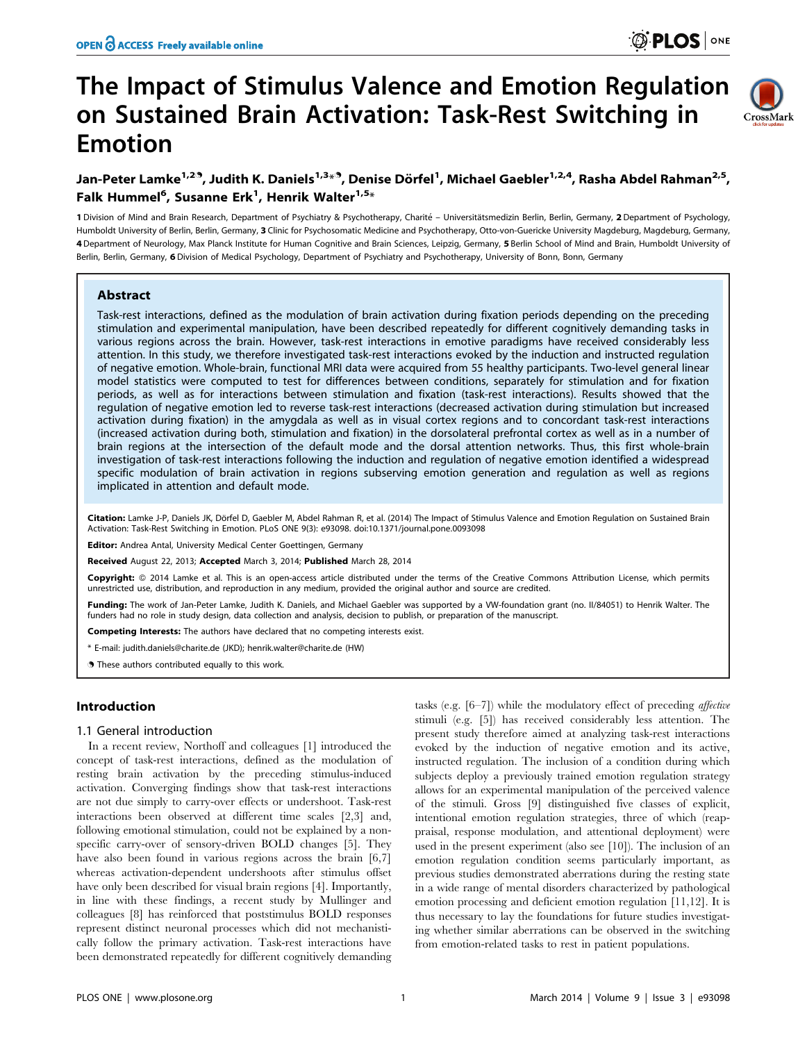# The Impact of Stimulus Valence and Emotion Regulation on Sustained Brain Activation: Task-Rest Switching in Emotion



## Jan-Peter Lamke<sup>1,29</sup>, Judith K. Daniels<sup>1,3<sub>\*</sub>9, Denise Dörfel<sup>1</sup>, Michael Gaebler<sup>1,2,4</sup>, Rasha Abdel Rahman<sup>2,5</sup>,</sup> Falk Hummel<sup>6</sup>, Susanne Erk<sup>1</sup>, Henrik Walter<sup>1,5</sup>\*

1 Division of Mind and Brain Research, Department of Psychiatry & Psychotherapy, Charité - Universitätsmedizin Berlin, Berlin, Germany, 2 Department of Psychology, Humboldt University of Berlin, Berlin, Germany, 3 Clinic for Psychosomatic Medicine and Psychotherapy, Otto-von-Guericke University Magdeburg, Magdeburg, Germany, 4 Department of Neurology, Max Planck Institute for Human Cognitive and Brain Sciences, Leipzig, Germany, 5 Berlin School of Mind and Brain, Humboldt University of Berlin, Berlin, Germany, 6 Division of Medical Psychology, Department of Psychiatry and Psychotherapy, University of Bonn, Bonn, Germany

## Abstract

Task-rest interactions, defined as the modulation of brain activation during fixation periods depending on the preceding stimulation and experimental manipulation, have been described repeatedly for different cognitively demanding tasks in various regions across the brain. However, task-rest interactions in emotive paradigms have received considerably less attention. In this study, we therefore investigated task-rest interactions evoked by the induction and instructed regulation of negative emotion. Whole-brain, functional MRI data were acquired from 55 healthy participants. Two-level general linear model statistics were computed to test for differences between conditions, separately for stimulation and for fixation periods, as well as for interactions between stimulation and fixation (task-rest interactions). Results showed that the regulation of negative emotion led to reverse task-rest interactions (decreased activation during stimulation but increased activation during fixation) in the amygdala as well as in visual cortex regions and to concordant task-rest interactions (increased activation during both, stimulation and fixation) in the dorsolateral prefrontal cortex as well as in a number of brain regions at the intersection of the default mode and the dorsal attention networks. Thus, this first whole-brain investigation of task-rest interactions following the induction and regulation of negative emotion identified a widespread specific modulation of brain activation in regions subserving emotion generation and regulation as well as regions implicated in attention and default mode.

Citation: Lamke J-P, Daniels JK, Dörfel D, Gaebler M, Abdel Rahman R, et al. (2014) The Impact of Stimulus Valence and Emotion Regulation on Sustained Brain Activation: Task-Rest Switching in Emotion. PLoS ONE 9(3): e93098. doi:10.1371/journal.pone.0093098

Editor: Andrea Antal, University Medical Center Goettingen, Germany

Received August 22, 2013; Accepted March 3, 2014; Published March 28, 2014

Copyright: © 2014 Lamke et al. This is an open-access article distributed under the terms of the [Creative Commons Attribution License](http://creativecommons.org/licenses/by/4.0/), which permits unrestricted use, distribution, and reproduction in any medium, provided the original author and source are credited.

Funding: The work of Jan-Peter Lamke, Judith K. Daniels, and Michael Gaebler was supported by a VW-foundation grant (no. II/84051) to Henrik Walter. The funders had no role in study design, data collection and analysis, decision to publish, or preparation of the manuscript.

Competing Interests: The authors have declared that no competing interests exist.

\* E-mail: judith.daniels@charite.de (JKD); henrik.walter@charite.de (HW)

. These authors contributed equally to this work.

## Introduction

#### 1.1 General introduction

In a recent review, Northoff and colleagues [1] introduced the concept of task-rest interactions, defined as the modulation of resting brain activation by the preceding stimulus-induced activation. Converging findings show that task-rest interactions are not due simply to carry-over effects or undershoot. Task-rest interactions been observed at different time scales [2,3] and, following emotional stimulation, could not be explained by a nonspecific carry-over of sensory-driven BOLD changes [5]. They have also been found in various regions across the brain [6,7] whereas activation-dependent undershoots after stimulus offset have only been described for visual brain regions [4]. Importantly, in line with these findings, a recent study by Mullinger and colleagues [8] has reinforced that poststimulus BOLD responses represent distinct neuronal processes which did not mechanistically follow the primary activation. Task-rest interactions have been demonstrated repeatedly for different cognitively demanding

tasks (e.g. [6–7]) while the modulatory effect of preceding affective stimuli (e.g. [5]) has received considerably less attention. The present study therefore aimed at analyzing task-rest interactions evoked by the induction of negative emotion and its active, instructed regulation. The inclusion of a condition during which subjects deploy a previously trained emotion regulation strategy allows for an experimental manipulation of the perceived valence of the stimuli. Gross [9] distinguished five classes of explicit, intentional emotion regulation strategies, three of which (reappraisal, response modulation, and attentional deployment) were used in the present experiment (also see [10]). The inclusion of an emotion regulation condition seems particularly important, as previous studies demonstrated aberrations during the resting state in a wide range of mental disorders characterized by pathological emotion processing and deficient emotion regulation [11,12]. It is thus necessary to lay the foundations for future studies investigating whether similar aberrations can be observed in the switching from emotion-related tasks to rest in patient populations.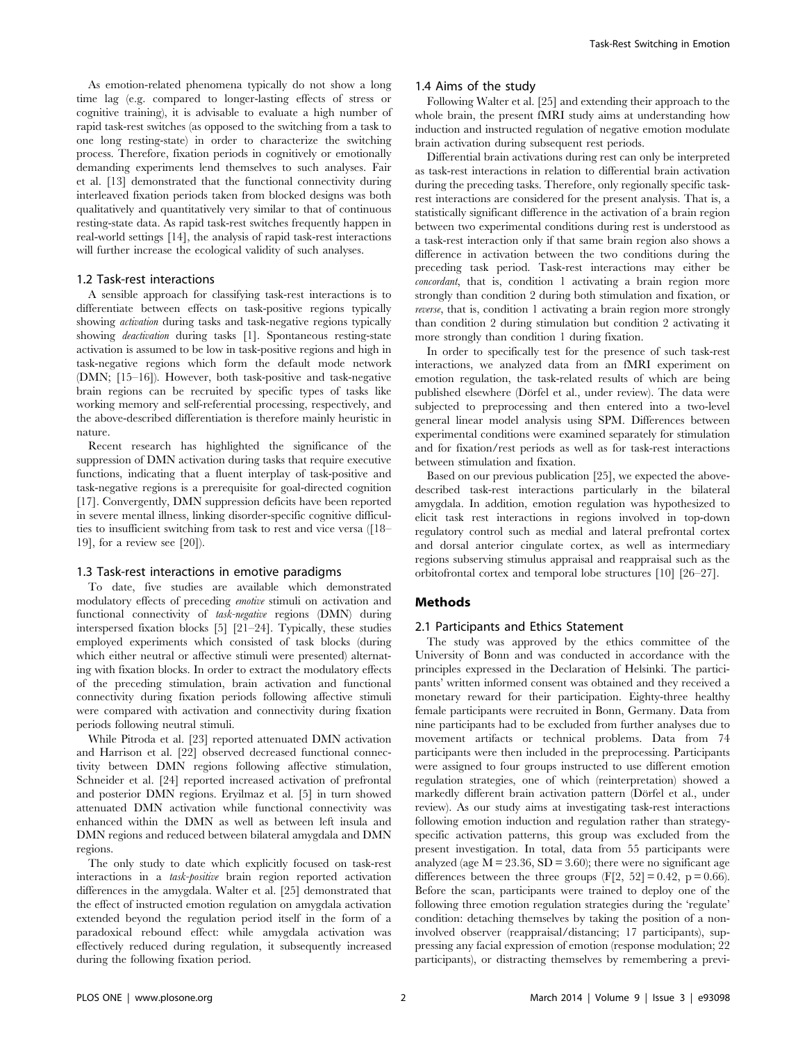As emotion-related phenomena typically do not show a long time lag (e.g. compared to longer-lasting effects of stress or cognitive training), it is advisable to evaluate a high number of rapid task-rest switches (as opposed to the switching from a task to one long resting-state) in order to characterize the switching process. Therefore, fixation periods in cognitively or emotionally demanding experiments lend themselves to such analyses. Fair et al. [13] demonstrated that the functional connectivity during interleaved fixation periods taken from blocked designs was both qualitatively and quantitatively very similar to that of continuous resting-state data. As rapid task-rest switches frequently happen in real-world settings [14], the analysis of rapid task-rest interactions will further increase the ecological validity of such analyses.

#### 1.2 Task-rest interactions

A sensible approach for classifying task-rest interactions is to differentiate between effects on task-positive regions typically showing activation during tasks and task-negative regions typically showing deactivation during tasks [1]. Spontaneous resting-state activation is assumed to be low in task-positive regions and high in task-negative regions which form the default mode network (DMN; [15–16]). However, both task-positive and task-negative brain regions can be recruited by specific types of tasks like working memory and self-referential processing, respectively, and the above-described differentiation is therefore mainly heuristic in nature.

Recent research has highlighted the significance of the suppression of DMN activation during tasks that require executive functions, indicating that a fluent interplay of task-positive and task-negative regions is a prerequisite for goal-directed cognition [17]. Convergently, DMN suppression deficits have been reported in severe mental illness, linking disorder-specific cognitive difficulties to insufficient switching from task to rest and vice versa ([18– 19], for a review see [20]).

#### 1.3 Task-rest interactions in emotive paradigms

To date, five studies are available which demonstrated modulatory effects of preceding emotive stimuli on activation and functional connectivity of task-negative regions (DMN) during interspersed fixation blocks [5] [21–24]. Typically, these studies employed experiments which consisted of task blocks (during which either neutral or affective stimuli were presented) alternating with fixation blocks. In order to extract the modulatory effects of the preceding stimulation, brain activation and functional connectivity during fixation periods following affective stimuli were compared with activation and connectivity during fixation periods following neutral stimuli.

While Pitroda et al. [23] reported attenuated DMN activation and Harrison et al. [22] observed decreased functional connectivity between DMN regions following affective stimulation, Schneider et al. [24] reported increased activation of prefrontal and posterior DMN regions. Eryilmaz et al. [5] in turn showed attenuated DMN activation while functional connectivity was enhanced within the DMN as well as between left insula and DMN regions and reduced between bilateral amygdala and DMN regions.

The only study to date which explicitly focused on task-rest interactions in a task-positive brain region reported activation differences in the amygdala. Walter et al. [25] demonstrated that the effect of instructed emotion regulation on amygdala activation extended beyond the regulation period itself in the form of a paradoxical rebound effect: while amygdala activation was effectively reduced during regulation, it subsequently increased during the following fixation period.

#### 1.4 Aims of the study

Following Walter et al. [25] and extending their approach to the whole brain, the present fMRI study aims at understanding how induction and instructed regulation of negative emotion modulate brain activation during subsequent rest periods.

Differential brain activations during rest can only be interpreted as task-rest interactions in relation to differential brain activation during the preceding tasks. Therefore, only regionally specific taskrest interactions are considered for the present analysis. That is, a statistically significant difference in the activation of a brain region between two experimental conditions during rest is understood as a task-rest interaction only if that same brain region also shows a difference in activation between the two conditions during the preceding task period. Task-rest interactions may either be concordant, that is, condition 1 activating a brain region more strongly than condition 2 during both stimulation and fixation, or reverse, that is, condition 1 activating a brain region more strongly than condition 2 during stimulation but condition 2 activating it more strongly than condition 1 during fixation.

In order to specifically test for the presence of such task-rest interactions, we analyzed data from an fMRI experiment on emotion regulation, the task-related results of which are being published elsewhere (Dörfel et al., under review). The data were subjected to preprocessing and then entered into a two-level general linear model analysis using SPM. Differences between experimental conditions were examined separately for stimulation and for fixation/rest periods as well as for task-rest interactions between stimulation and fixation.

Based on our previous publication [25], we expected the abovedescribed task-rest interactions particularly in the bilateral amygdala. In addition, emotion regulation was hypothesized to elicit task rest interactions in regions involved in top-down regulatory control such as medial and lateral prefrontal cortex and dorsal anterior cingulate cortex, as well as intermediary regions subserving stimulus appraisal and reappraisal such as the orbitofrontal cortex and temporal lobe structures [10] [26–27].

## Methods

#### 2.1 Participants and Ethics Statement

The study was approved by the ethics committee of the University of Bonn and was conducted in accordance with the principles expressed in the Declaration of Helsinki. The participants' written informed consent was obtained and they received a monetary reward for their participation. Eighty-three healthy female participants were recruited in Bonn, Germany. Data from nine participants had to be excluded from further analyses due to movement artifacts or technical problems. Data from 74 participants were then included in the preprocessing. Participants were assigned to four groups instructed to use different emotion regulation strategies, one of which (reinterpretation) showed a markedly different brain activation pattern (Dörfel et al., under review). As our study aims at investigating task-rest interactions following emotion induction and regulation rather than strategyspecific activation patterns, this group was excluded from the present investigation. In total, data from 55 participants were analyzed (age  $\overline{M} = 23.36$ ,  $SD = 3.60$ ); there were no significant age differences between the three groups  $(F[2, 52] = 0.42, p = 0.66)$ . Before the scan, participants were trained to deploy one of the following three emotion regulation strategies during the 'regulate' condition: detaching themselves by taking the position of a noninvolved observer (reappraisal/distancing; 17 participants), suppressing any facial expression of emotion (response modulation; 22 participants), or distracting themselves by remembering a previ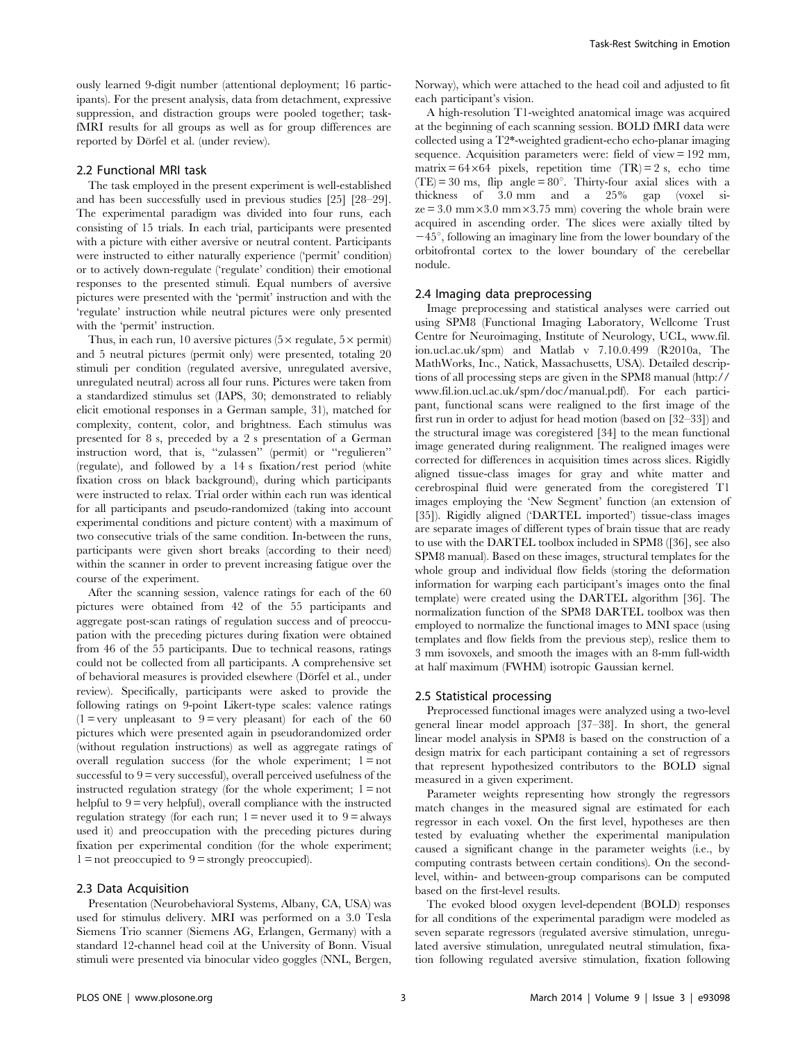ously learned 9-digit number (attentional deployment; 16 participants). For the present analysis, data from detachment, expressive suppression, and distraction groups were pooled together; taskfMRI results for all groups as well as for group differences are reported by Dörfel et al. (under review).

#### 2.2 Functional MRI task

The task employed in the present experiment is well-established and has been successfully used in previous studies [25] [28–29]. The experimental paradigm was divided into four runs, each consisting of 15 trials. In each trial, participants were presented with a picture with either aversive or neutral content. Participants were instructed to either naturally experience ('permit' condition) or to actively down-regulate ('regulate' condition) their emotional responses to the presented stimuli. Equal numbers of aversive pictures were presented with the 'permit' instruction and with the 'regulate' instruction while neutral pictures were only presented with the 'permit' instruction.

Thus, in each run, 10 aversive pictures  $(5 \times$  regulate,  $5 \times$  permit) and 5 neutral pictures (permit only) were presented, totaling 20 stimuli per condition (regulated aversive, unregulated aversive, unregulated neutral) across all four runs. Pictures were taken from a standardized stimulus set (IAPS, 30; demonstrated to reliably elicit emotional responses in a German sample, 31), matched for complexity, content, color, and brightness. Each stimulus was presented for 8 s, preceded by a 2 s presentation of a German instruction word, that is, ''zulassen'' (permit) or ''regulieren'' (regulate), and followed by a 14 s fixation/rest period (white fixation cross on black background), during which participants were instructed to relax. Trial order within each run was identical for all participants and pseudo-randomized (taking into account experimental conditions and picture content) with a maximum of two consecutive trials of the same condition. In-between the runs, participants were given short breaks (according to their need) within the scanner in order to prevent increasing fatigue over the course of the experiment.

After the scanning session, valence ratings for each of the 60 pictures were obtained from 42 of the 55 participants and aggregate post-scan ratings of regulation success and of preoccupation with the preceding pictures during fixation were obtained from 46 of the 55 participants. Due to technical reasons, ratings could not be collected from all participants. A comprehensive set of behavioral measures is provided elsewhere (Dörfel et al., under review). Specifically, participants were asked to provide the following ratings on 9-point Likert-type scales: valence ratings  $(1 = \text{very unpleasant to } 9 = \text{very pleasant})$  for each of the 60 pictures which were presented again in pseudorandomized order (without regulation instructions) as well as aggregate ratings of overall regulation success (for the whole experiment;  $1 = not$ successful to  $9 =$  very successful), overall perceived usefulness of the instructed regulation strategy (for the whole experiment;  $1 = not$ helpful to  $9 =$  very helpful), overall compliance with the instructed regulation strategy (for each run;  $1 =$  never used it to  $9 =$  always used it) and preoccupation with the preceding pictures during fixation per experimental condition (for the whole experiment;  $1 =$  not preoccupied to  $9 =$  strongly preoccupied).

## 2.3 Data Acquisition

Presentation (Neurobehavioral Systems, Albany, CA, USA) was used for stimulus delivery. MRI was performed on a 3.0 Tesla Siemens Trio scanner (Siemens AG, Erlangen, Germany) with a standard 12-channel head coil at the University of Bonn. Visual stimuli were presented via binocular video goggles (NNL, Bergen, Norway), which were attached to the head coil and adjusted to fit each participant's vision.

A high-resolution T1-weighted anatomical image was acquired at the beginning of each scanning session. BOLD fMRI data were collected using a T2\*-weighted gradient-echo echo-planar imaging sequence. Acquisition parameters were: field of view = 192 mm, matrix =  $64 \times 64$  pixels, repetition time (TR) = 2 s, echo time  $(TE) = 30$  ms, flip angle = 80°. Thirty-four axial slices with a thickness of 3.0 mm and a 25% gap (voxel si $ze = 3.0$  mm $\times$ 3.0 mm $\times$ 3.75 mm) covering the whole brain were acquired in ascending order. The slices were axially tilted by  $-45^{\circ}$ , following an imaginary line from the lower boundary of the orbitofrontal cortex to the lower boundary of the cerebellar nodule.

#### 2.4 Imaging data preprocessing

Image preprocessing and statistical analyses were carried out using SPM8 (Functional Imaging Laboratory, Wellcome Trust Centre for Neuroimaging, Institute of Neurology, UCL, www.fil. ion.ucl.ac.uk/spm) and Matlab v 7.10.0.499 (R2010a, The MathWorks, Inc., Natick, Massachusetts, USA). Detailed descriptions of all processing steps are given in the SPM8 manual ([http://](http://www.fil.ion.ucl.ac.uk/spm/doc/manual.pdf) [www.fil.ion.ucl.ac.uk/spm/doc/manual.pdf](http://www.fil.ion.ucl.ac.uk/spm/doc/manual.pdf)). For each participant, functional scans were realigned to the first image of the first run in order to adjust for head motion (based on [32–33]) and the structural image was coregistered [34] to the mean functional image generated during realignment. The realigned images were corrected for differences in acquisition times across slices. Rigidly aligned tissue-class images for gray and white matter and cerebrospinal fluid were generated from the coregistered T1 images employing the 'New Segment' function (an extension of [35]). Rigidly aligned ('DARTEL imported') tissue-class images are separate images of different types of brain tissue that are ready to use with the DARTEL toolbox included in SPM8 ([36], see also SPM8 manual). Based on these images, structural templates for the whole group and individual flow fields (storing the deformation information for warping each participant's images onto the final template) were created using the DARTEL algorithm [36]. The normalization function of the SPM8 DARTEL toolbox was then employed to normalize the functional images to MNI space (using templates and flow fields from the previous step), reslice them to 3 mm isovoxels, and smooth the images with an 8-mm full-width at half maximum (FWHM) isotropic Gaussian kernel.

#### 2.5 Statistical processing

Preprocessed functional images were analyzed using a two-level general linear model approach [37–38]. In short, the general linear model analysis in SPM8 is based on the construction of a design matrix for each participant containing a set of regressors that represent hypothesized contributors to the BOLD signal measured in a given experiment.

Parameter weights representing how strongly the regressors match changes in the measured signal are estimated for each regressor in each voxel. On the first level, hypotheses are then tested by evaluating whether the experimental manipulation caused a significant change in the parameter weights (i.e., by computing contrasts between certain conditions). On the secondlevel, within- and between-group comparisons can be computed based on the first-level results.

The evoked blood oxygen level-dependent (BOLD) responses for all conditions of the experimental paradigm were modeled as seven separate regressors (regulated aversive stimulation, unregulated aversive stimulation, unregulated neutral stimulation, fixation following regulated aversive stimulation, fixation following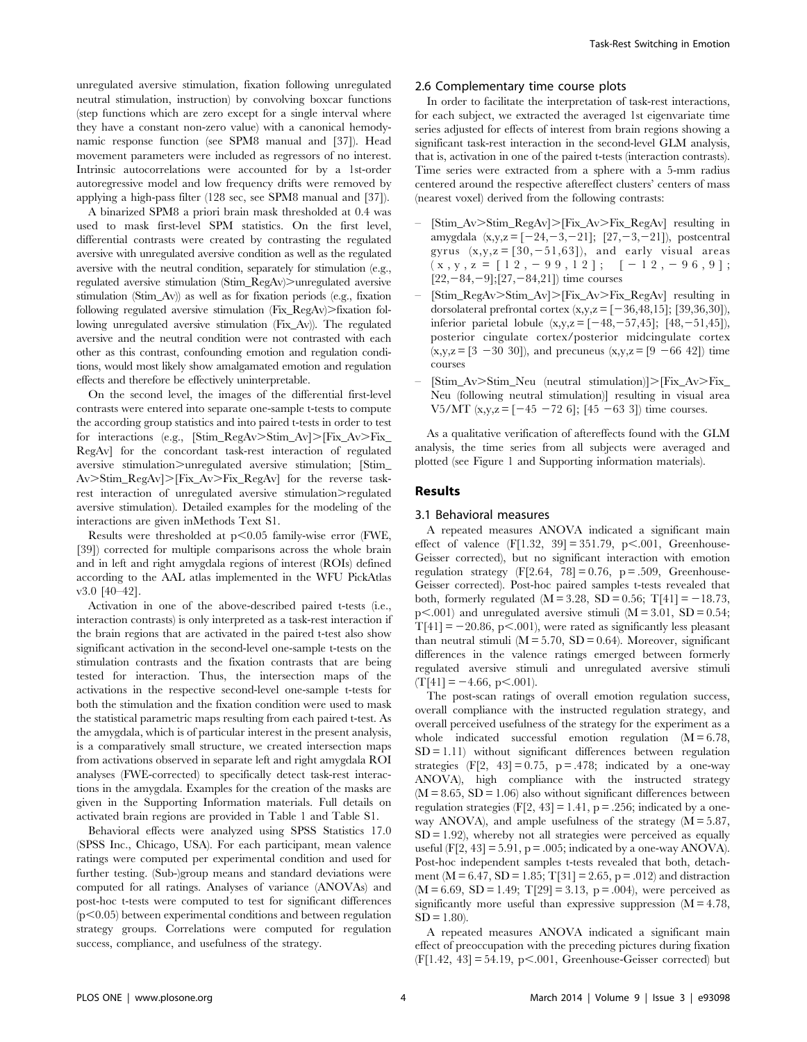unregulated aversive stimulation, fixation following unregulated neutral stimulation, instruction) by convolving boxcar functions (step functions which are zero except for a single interval where they have a constant non-zero value) with a canonical hemodynamic response function (see SPM8 manual and [37]). Head movement parameters were included as regressors of no interest. Intrinsic autocorrelations were accounted for by a 1st-order autoregressive model and low frequency drifts were removed by applying a high-pass filter (128 sec, see SPM8 manual and [37]).

A binarized SPM8 a priori brain mask thresholded at 0.4 was used to mask first-level SPM statistics. On the first level, differential contrasts were created by contrasting the regulated aversive with unregulated aversive condition as well as the regulated aversive with the neutral condition, separately for stimulation (e.g., regulated aversive stimulation (Stim\_RegAv)>unregulated aversive stimulation (Stim\_Av)) as well as for fixation periods (e.g., fixation following regulated aversive stimulation  $(Fix\_RegAv)$ . fixation following unregulated aversive stimulation (Fix\_Av)). The regulated aversive and the neutral condition were not contrasted with each other as this contrast, confounding emotion and regulation conditions, would most likely show amalgamated emotion and regulation effects and therefore be effectively uninterpretable.

On the second level, the images of the differential first-level contrasts were entered into separate one-sample t-tests to compute the according group statistics and into paired t-tests in order to test for interactions (e.g.,  $[Stim\_RegAv > Stim\_Av] > [Fix_Av > Fix]$ RegAv] for the concordant task-rest interaction of regulated aversive stimulation $\geq$ unregulated aversive stimulation; [Stim\_  $Av > Sim\_RegAv$ . Fix\_Av $> Fix\_RegAv$  for the reverse taskrest interaction of unregulated aversive stimulation.>regulated aversive stimulation). Detailed examples for the modeling of the interactions are given inMethods Text S1.

Results were thresholded at  $p<0.05$  family-wise error (FWE, [39]) corrected for multiple comparisons across the whole brain and in left and right amygdala regions of interest (ROIs) defined according to the AAL atlas implemented in the WFU PickAtlas v3.0 [40–42].

Activation in one of the above-described paired t-tests (i.e., interaction contrasts) is only interpreted as a task-rest interaction if the brain regions that are activated in the paired t-test also show significant activation in the second-level one-sample t-tests on the stimulation contrasts and the fixation contrasts that are being tested for interaction. Thus, the intersection maps of the activations in the respective second-level one-sample t-tests for both the stimulation and the fixation condition were used to mask the statistical parametric maps resulting from each paired t-test. As the amygdala, which is of particular interest in the present analysis, is a comparatively small structure, we created intersection maps from activations observed in separate left and right amygdala ROI analyses (FWE-corrected) to specifically detect task-rest interactions in the amygdala. Examples for the creation of the masks are given in the Supporting Information materials. Full details on activated brain regions are provided in Table 1 and Table S1.

Behavioral effects were analyzed using SPSS Statistics 17.0 (SPSS Inc., Chicago, USA). For each participant, mean valence ratings were computed per experimental condition and used for further testing. (Sub-)group means and standard deviations were computed for all ratings. Analyses of variance (ANOVAs) and post-hoc t-tests were computed to test for significant differences  $(p<0.05)$  between experimental conditions and between regulation strategy groups. Correlations were computed for regulation success, compliance, and usefulness of the strategy.

## 2.6 Complementary time course plots

In order to facilitate the interpretation of task-rest interactions, for each subject, we extracted the averaged 1st eigenvariate time series adjusted for effects of interest from brain regions showing a significant task-rest interaction in the second-level GLM analysis, that is, activation in one of the paired t-tests (interaction contrasts). Time series were extracted from a sphere with a 5-mm radius centered around the respective aftereffect clusters' centers of mass (nearest voxel) derived from the following contrasts:

- $[Stim_Av>Stim\_RegAv]$ . [Fix\_Av>Fix\_RegAv] resulting in amygdala  $(x,y,z = [-24,-3,-21]; [27,-3,-21])$ , postcentral gyrus  $(x,y,z = [30,-51,63])$ , and early visual areas  $(x, y, z = [12, -99, 12];$   $[-12, -96, 9];$  $[22,-84,-9];[27,-84,21]$ ) time courses
- [Stim\_RegAv>Stim\_Av]>[Fix\_Av>Fix\_RegAv] resulting in dorsolateral prefrontal cortex  $(x,y,z = [-36,48,15]; [39,36,30]),$ inferior parietal lobule  $(x,y,z = [-48,-57,45]; [48,-51,45])$ , posterior cingulate cortex/posterior midcingulate cortex  $(x,y,z = [3 -30 30])$ , and precuneus  $(x,y,z = [9 -66 42])$  time courses
- [Stim\_Av>Stim\_Neu (neutral stimulation)]>[Fix\_Av>Fix\_ Neu (following neutral stimulation)] resulting in visual area V5/MT  $(x,y,z = [-45 - 72 6]; [45 - 63 3])$  time courses.

As a qualitative verification of aftereffects found with the GLM analysis, the time series from all subjects were averaged and plotted (see Figure 1 and Supporting information materials).

#### Results

#### 3.1 Behavioral measures

A repeated measures ANOVA indicated a significant main effect of valence  $(F[1.32, 39] = 351.79, p<.001,$  Greenhouse-Geisser corrected), but no significant interaction with emotion regulation strategy  $(F[2.64, 78] = 0.76, p = .509,$  Greenhouse-Geisser corrected). Post-hoc paired samples t-tests revealed that both, formerly regulated  $(M = 3.28, SD = 0.56; T[41] = -18.73$ ,  $p<.001$ ) and unregulated aversive stimuli (M = 3.01, SD = 0.54;  $T[41] = -20.86$ , p<.001), were rated as significantly less pleasant than neutral stimuli ( $M = 5.70$ ,  $SD = 0.64$ ). Moreover, significant differences in the valence ratings emerged between formerly regulated aversive stimuli and unregulated aversive stimuli  $(T[41] = -4.66, p<.001).$ 

The post-scan ratings of overall emotion regulation success, overall compliance with the instructed regulation strategy, and overall perceived usefulness of the strategy for the experiment as a whole indicated successful emotion regulation  $(M = 6.78)$ ,  $SD = 1.11$ ) without significant differences between regulation strategies  $(F[2, 43] = 0.75, p = .478;$  indicated by a one-way ANOVA), high compliance with the instructed strategy  $(M = 8.65, SD = 1.06)$  also without significant differences between regulation strategies  $(F[2, 43] = 1.41, p = .256$ ; indicated by a oneway ANOVA), and ample usefulness of the strategy  $(M = 5.87,$  $SD = 1.92$ , whereby not all strategies were perceived as equally useful (F[2, 43] = 5.91,  $p = .005$ ; indicated by a one-way ANOVA). Post-hoc independent samples t-tests revealed that both, detachment (M = 6.47, SD = 1.85; T[31] = 2.65, p = .012) and distraction  $(M = 6.69, SD = 1.49; T[29] = 3.13, p = .004$ , were perceived as significantly more useful than expressive suppression  $(M = 4.78)$ ,  $SD = 1.80$ ).

A repeated measures ANOVA indicated a significant main effect of preoccupation with the preceding pictures during fixation  $(F[1.42, 43] = 54.19, p<.001$ , Greenhouse-Geisser corrected) but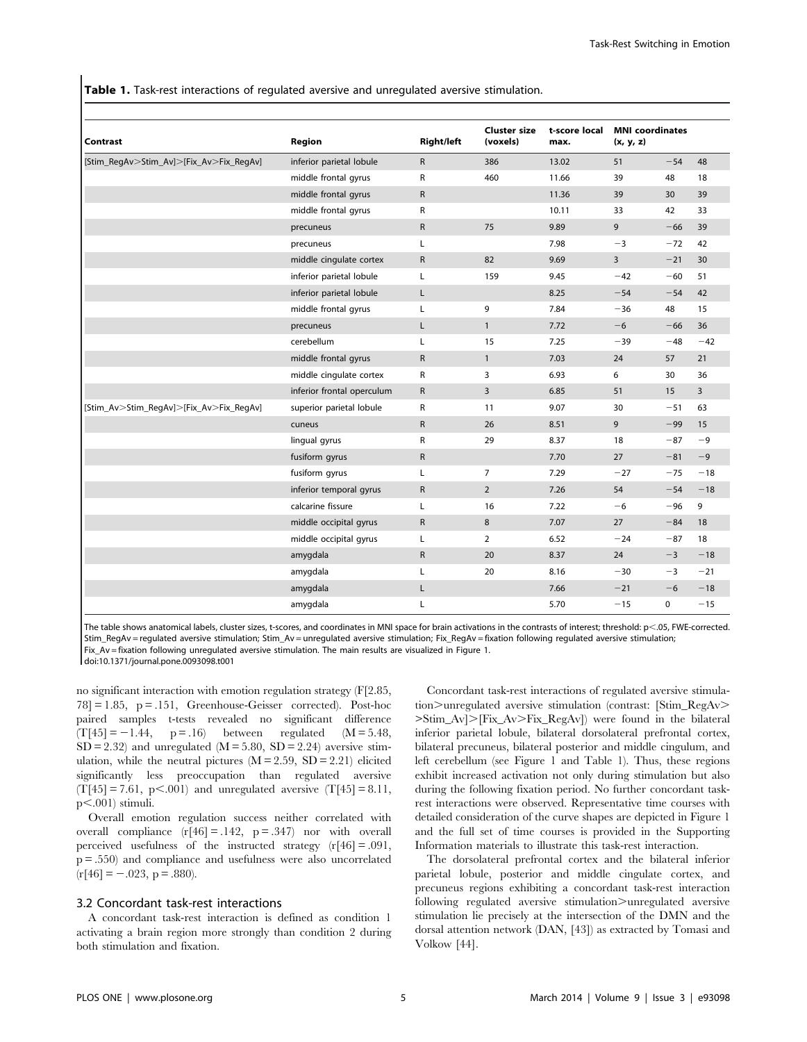Table 1. Task-rest interactions of regulated aversive and unregulated aversive stimulation.

| <b>Contrast</b><br>[Stim_RegAv>Stim_Av]>[Fix_Av>Fix_RegAv] | Region<br>inferior parietal lobule | <b>Right/left</b><br>$\mathsf{R}$ | <b>Cluster size</b><br>(voxels)<br>386 | t-score local<br>max.<br>13.02 | <b>MNI</b> coordinates<br>(x, y, z) |       |       |
|------------------------------------------------------------|------------------------------------|-----------------------------------|----------------------------------------|--------------------------------|-------------------------------------|-------|-------|
|                                                            |                                    |                                   |                                        |                                | 51                                  | $-54$ | 48    |
|                                                            | middle frontal gyrus               | $\mathsf{R}$                      | 460                                    | 11.66                          | 39                                  | 48    | 18    |
|                                                            | middle frontal gyrus               | $\mathsf{R}$                      |                                        | 11.36                          | 39                                  | 30    | 39    |
|                                                            | middle frontal gyrus               | R                                 |                                        | 10.11                          | 33                                  | 42    | 33    |
|                                                            | precuneus                          | $\mathsf R$                       | 75                                     | 9.89                           | 9                                   | $-66$ | 39    |
|                                                            | precuneus                          | Г                                 |                                        | 7.98                           | $-3$                                | $-72$ | 42    |
|                                                            | middle cingulate cortex            | $\mathsf{R}$                      | 82                                     | 9.69                           | 3                                   | $-21$ | 30    |
|                                                            | inferior parietal lobule           | Г                                 | 159                                    | 9.45                           | $-42$                               | $-60$ | 51    |
|                                                            | inferior parietal lobule           | L                                 |                                        | 8.25                           | $-54$                               | $-54$ | 42    |
|                                                            | middle frontal gyrus               | L                                 | 9                                      | 7.84                           | $-36$                               | 48    | 15    |
|                                                            | precuneus                          | Г                                 | $\mathbf{1}$                           | 7.72                           | $-6$                                | $-66$ | 36    |
|                                                            | cerebellum                         | Г                                 | 15                                     | 7.25                           | $-39$                               | $-48$ | $-42$ |
|                                                            | middle frontal gyrus               | $\mathsf{R}$                      | $\mathbf{1}$                           | 7.03                           | 24                                  | 57    | 21    |
|                                                            | middle cingulate cortex            | R                                 | 3                                      | 6.93                           | 6                                   | 30    | 36    |
|                                                            | inferior frontal operculum         | $\mathsf{R}$                      | 3                                      | 6.85                           | 51                                  | 15    | 3     |
| [Stim_Av>Stim_RegAv]>[Fix_Av>Fix_RegAv]                    | superior parietal lobule           | R                                 | 11                                     | 9.07                           | 30                                  | $-51$ | 63    |
|                                                            | cuneus                             | $\mathsf{R}$                      | 26                                     | 8.51                           | 9                                   | $-99$ | 15    |
|                                                            | lingual gyrus                      | R                                 | 29                                     | 8.37                           | 18                                  | $-87$ | -9    |
|                                                            | fusiform gyrus                     | $\mathsf{R}$                      |                                        | 7.70                           | 27                                  | $-81$ | $-9$  |
|                                                            | fusiform gyrus                     | L                                 | 7                                      | 7.29                           | $-27$                               | $-75$ | $-18$ |
|                                                            | inferior temporal gyrus            | $\mathsf{R}$                      | $\overline{2}$                         | 7.26                           | 54                                  | $-54$ | $-18$ |
|                                                            | calcarine fissure                  | L                                 | 16                                     | 7.22                           | $-6$                                | $-96$ | 9     |
|                                                            | middle occipital gyrus             | $\mathsf{R}$                      | 8                                      | 7.07                           | 27                                  | $-84$ | 18    |
|                                                            | middle occipital gyrus             | Г                                 | 2                                      | 6.52                           | $-24$                               | $-87$ | 18    |
|                                                            | amygdala                           | $\mathsf{R}$                      | 20                                     | 8.37                           | 24                                  | $-3$  | $-18$ |
|                                                            | amygdala                           | Г                                 | 20                                     | 8.16                           | $-30$                               | $-3$  | $-21$ |
|                                                            | amygdala                           | Г                                 |                                        | 7.66                           | $-21$                               | $-6$  | $-18$ |
|                                                            | amygdala                           | Г                                 |                                        | 5.70                           | $-15$                               | 0     | $-15$ |

The table shows anatomical labels, cluster sizes, t-scores, and coordinates in MNI space for brain activations in the contrasts of interest; threshold: p<.05, FWE-corrected. Stim\_RegAv = regulated aversive stimulation; Stim\_Av = unregulated aversive stimulation; Fix\_RegAv = fixation following regulated aversive stimulation; Fix Av = fixation following unregulated aversive stimulation. The main results are visualized in Figure 1. doi:10.1371/journal.pone.0093098.t001

no significant interaction with emotion regulation strategy (F[2.85,  $78$ ] = 1.85, p = .151, Greenhouse-Geisser corrected). Post-hoc paired samples t-tests revealed no significant difference  $(T[45] = -1.44, p = .16)$  between regulated  $(M = 5.48,$  $SD = 2.32$ ) and unregulated  $(M = 5.80, SD = 2.24)$  aversive stimulation, while the neutral pictures  $(M = 2.59, SD = 2.21)$  elicited significantly less preoccupation than regulated aversive  $(T[45] = 7.61, p<.001)$  and unregulated aversive  $(T[45] = 8.11,$  $p<.001$ ) stimuli.

Overall emotion regulation success neither correlated with overall compliance  $(r[46] = .142, p = .347)$  nor with overall perceived usefulness of the instructed strategy (r[46] = .091, p = .550) and compliance and usefulness were also uncorrelated  $(r[46] = -.023, p = .880).$ 

## 3.2 Concordant task-rest interactions

A concordant task-rest interaction is defined as condition 1 activating a brain region more strongly than condition 2 during both stimulation and fixation.

Concordant task-rest interactions of regulated aversive stimula $tion$  > unregulated aversive stimulation (contrast: [Stim\_RegAv>  $>\text{Stim}_\text{A}V$ . [Fix\_Av $>$ Fix\_RegAv]) were found in the bilateral inferior parietal lobule, bilateral dorsolateral prefrontal cortex, bilateral precuneus, bilateral posterior and middle cingulum, and left cerebellum (see Figure 1 and Table 1). Thus, these regions exhibit increased activation not only during stimulation but also during the following fixation period. No further concordant taskrest interactions were observed. Representative time courses with detailed consideration of the curve shapes are depicted in Figure 1 and the full set of time courses is provided in the Supporting Information materials to illustrate this task-rest interaction.

The dorsolateral prefrontal cortex and the bilateral inferior parietal lobule, posterior and middle cingulate cortex, and precuneus regions exhibiting a concordant task-rest interaction following regulated aversive stimulation>unregulated aversive stimulation lie precisely at the intersection of the DMN and the dorsal attention network (DAN, [43]) as extracted by Tomasi and Volkow [44].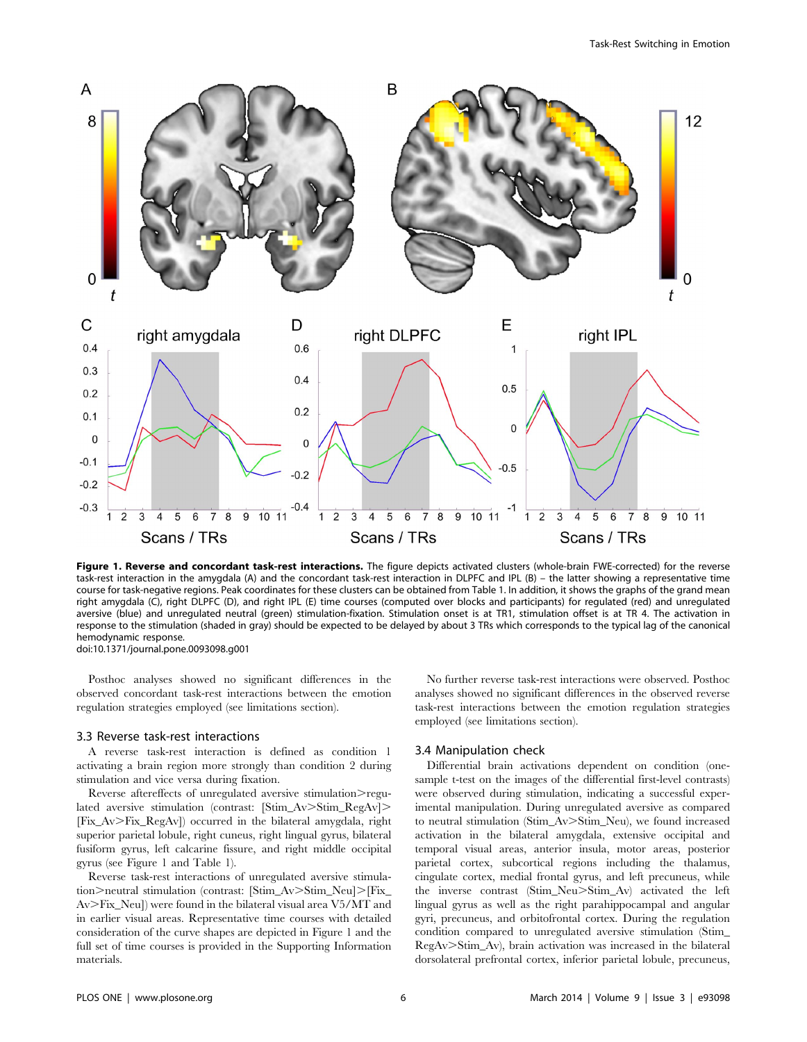

Figure 1. Reverse and concordant task-rest interactions. The figure depicts activated clusters (whole-brain FWE-corrected) for the reverse task-rest interaction in the amygdala (A) and the concordant task-rest interaction in DLPFC and IPL (B) – the latter showing a representative time course for task-negative regions. Peak coordinates for these clusters can be obtained from Table 1. In addition, it shows the graphs of the grand mean right amygdala (C), right DLPFC (D), and right IPL (E) time courses (computed over blocks and participants) for regulated (red) and unregulated aversive (blue) and unregulated neutral (green) stimulation-fixation. Stimulation onset is at TR1, stimulation offset is at TR 4. The activation in response to the stimulation (shaded in gray) should be expected to be delayed by about 3 TRs which corresponds to the typical lag of the canonical hemodynamic response. doi:10.1371/journal.pone.0093098.g001

Posthoc analyses showed no significant differences in the observed concordant task-rest interactions between the emotion regulation strategies employed (see limitations section).

#### 3.3 Reverse task-rest interactions

A reverse task-rest interaction is defined as condition 1 activating a brain region more strongly than condition 2 during stimulation and vice versa during fixation.

Reverse aftereffects of unregulated aversive stimulation>regulated aversive stimulation (contrast:  $[Stim_Av>Stim_RegAv]$ .) [Fix\_Av>Fix\_RegAv]) occurred in the bilateral amygdala, right superior parietal lobule, right cuneus, right lingual gyrus, bilateral fusiform gyrus, left calcarine fissure, and right middle occipital gyrus (see Figure 1 and Table 1).

Reverse task-rest interactions of unregulated aversive stimulation>neutral stimulation (contrast: [Stim\_Av>Stim\_Neu]>[Fix\_  $Av>Fix_Neu]$  were found in the bilateral visual area V5/MT and in earlier visual areas. Representative time courses with detailed consideration of the curve shapes are depicted in Figure 1 and the full set of time courses is provided in the Supporting Information materials.

No further reverse task-rest interactions were observed. Posthoc analyses showed no significant differences in the observed reverse task-rest interactions between the emotion regulation strategies employed (see limitations section).

#### 3.4 Manipulation check

Differential brain activations dependent on condition (onesample t-test on the images of the differential first-level contrasts) were observed during stimulation, indicating a successful experimental manipulation. During unregulated aversive as compared to neutral stimulation (Stim\_Av>Stim\_Neu), we found increased activation in the bilateral amygdala, extensive occipital and temporal visual areas, anterior insula, motor areas, posterior parietal cortex, subcortical regions including the thalamus, cingulate cortex, medial frontal gyrus, and left precuneus, while the inverse contrast (Stim\_Neu>Stim\_Av) activated the left lingual gyrus as well as the right parahippocampal and angular gyri, precuneus, and orbitofrontal cortex. During the regulation condition compared to unregulated aversive stimulation (Stim\_ RegAv.Stim\_Av), brain activation was increased in the bilateral dorsolateral prefrontal cortex, inferior parietal lobule, precuneus,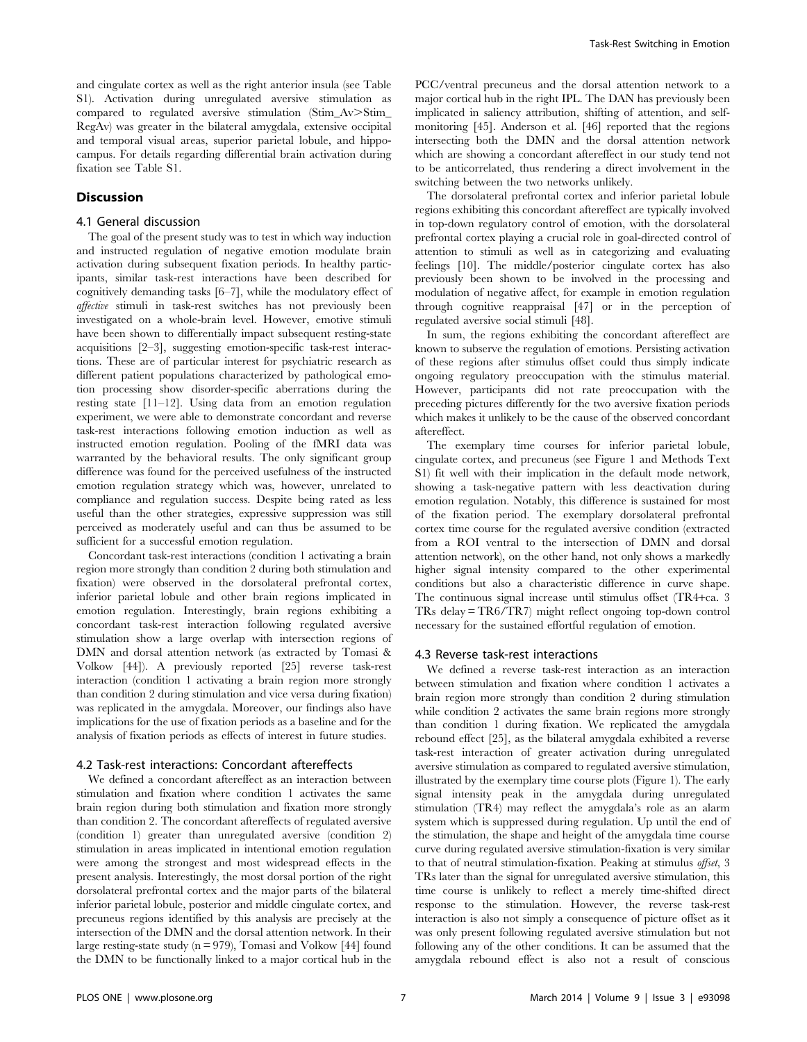and cingulate cortex as well as the right anterior insula (see Table S1). Activation during unregulated aversive stimulation as compared to regulated aversive stimulation (Stim\_Av>Stim\_ RegAv) was greater in the bilateral amygdala, extensive occipital and temporal visual areas, superior parietal lobule, and hippocampus. For details regarding differential brain activation during fixation see Table S1.

#### **Discussion**

## 4.1 General discussion

The goal of the present study was to test in which way induction and instructed regulation of negative emotion modulate brain activation during subsequent fixation periods. In healthy participants, similar task-rest interactions have been described for cognitively demanding tasks [6–7], while the modulatory effect of affective stimuli in task-rest switches has not previously been investigated on a whole-brain level. However, emotive stimuli have been shown to differentially impact subsequent resting-state acquisitions [2–3], suggesting emotion-specific task-rest interactions. These are of particular interest for psychiatric research as different patient populations characterized by pathological emotion processing show disorder-specific aberrations during the resting state [11–12]. Using data from an emotion regulation experiment, we were able to demonstrate concordant and reverse task-rest interactions following emotion induction as well as instructed emotion regulation. Pooling of the fMRI data was warranted by the behavioral results. The only significant group difference was found for the perceived usefulness of the instructed emotion regulation strategy which was, however, unrelated to compliance and regulation success. Despite being rated as less useful than the other strategies, expressive suppression was still perceived as moderately useful and can thus be assumed to be sufficient for a successful emotion regulation.

Concordant task-rest interactions (condition 1 activating a brain region more strongly than condition 2 during both stimulation and fixation) were observed in the dorsolateral prefrontal cortex, inferior parietal lobule and other brain regions implicated in emotion regulation. Interestingly, brain regions exhibiting a concordant task-rest interaction following regulated aversive stimulation show a large overlap with intersection regions of DMN and dorsal attention network (as extracted by Tomasi & Volkow [44]). A previously reported [25] reverse task-rest interaction (condition 1 activating a brain region more strongly than condition 2 during stimulation and vice versa during fixation) was replicated in the amygdala. Moreover, our findings also have implications for the use of fixation periods as a baseline and for the analysis of fixation periods as effects of interest in future studies.

#### 4.2 Task-rest interactions: Concordant aftereffects

We defined a concordant aftereffect as an interaction between stimulation and fixation where condition 1 activates the same brain region during both stimulation and fixation more strongly than condition 2. The concordant aftereffects of regulated aversive (condition 1) greater than unregulated aversive (condition 2) stimulation in areas implicated in intentional emotion regulation were among the strongest and most widespread effects in the present analysis. Interestingly, the most dorsal portion of the right dorsolateral prefrontal cortex and the major parts of the bilateral inferior parietal lobule, posterior and middle cingulate cortex, and precuneus regions identified by this analysis are precisely at the intersection of the DMN and the dorsal attention network. In their large resting-state study ( $n = 979$ ), Tomasi and Volkow [44] found the DMN to be functionally linked to a major cortical hub in the

PCC/ventral precuneus and the dorsal attention network to a major cortical hub in the right IPL. The DAN has previously been implicated in saliency attribution, shifting of attention, and selfmonitoring [45]. Anderson et al. [46] reported that the regions intersecting both the DMN and the dorsal attention network which are showing a concordant aftereffect in our study tend not to be anticorrelated, thus rendering a direct involvement in the switching between the two networks unlikely.

The dorsolateral prefrontal cortex and inferior parietal lobule regions exhibiting this concordant aftereffect are typically involved in top-down regulatory control of emotion, with the dorsolateral prefrontal cortex playing a crucial role in goal-directed control of attention to stimuli as well as in categorizing and evaluating feelings [10]. The middle/posterior cingulate cortex has also previously been shown to be involved in the processing and modulation of negative affect, for example in emotion regulation through cognitive reappraisal [47] or in the perception of regulated aversive social stimuli [48].

In sum, the regions exhibiting the concordant aftereffect are known to subserve the regulation of emotions. Persisting activation of these regions after stimulus offset could thus simply indicate ongoing regulatory preoccupation with the stimulus material. However, participants did not rate preoccupation with the preceding pictures differently for the two aversive fixation periods which makes it unlikely to be the cause of the observed concordant aftereffect.

The exemplary time courses for inferior parietal lobule, cingulate cortex, and precuneus (see Figure 1 and Methods Text S1) fit well with their implication in the default mode network, showing a task-negative pattern with less deactivation during emotion regulation. Notably, this difference is sustained for most of the fixation period. The exemplary dorsolateral prefrontal cortex time course for the regulated aversive condition (extracted from a ROI ventral to the intersection of DMN and dorsal attention network), on the other hand, not only shows a markedly higher signal intensity compared to the other experimental conditions but also a characteristic difference in curve shape. The continuous signal increase until stimulus offset (TR4+ca. 3 TRs delay = TR6/TR7) might reflect ongoing top-down control necessary for the sustained effortful regulation of emotion.

#### 4.3 Reverse task-rest interactions

We defined a reverse task-rest interaction as an interaction between stimulation and fixation where condition 1 activates a brain region more strongly than condition 2 during stimulation while condition 2 activates the same brain regions more strongly than condition 1 during fixation. We replicated the amygdala rebound effect [25], as the bilateral amygdala exhibited a reverse task-rest interaction of greater activation during unregulated aversive stimulation as compared to regulated aversive stimulation, illustrated by the exemplary time course plots (Figure 1). The early signal intensity peak in the amygdala during unregulated stimulation (TR4) may reflect the amygdala's role as an alarm system which is suppressed during regulation. Up until the end of the stimulation, the shape and height of the amygdala time course curve during regulated aversive stimulation-fixation is very similar to that of neutral stimulation-fixation. Peaking at stimulus offset, 3 TRs later than the signal for unregulated aversive stimulation, this time course is unlikely to reflect a merely time-shifted direct response to the stimulation. However, the reverse task-rest interaction is also not simply a consequence of picture offset as it was only present following regulated aversive stimulation but not following any of the other conditions. It can be assumed that the amygdala rebound effect is also not a result of conscious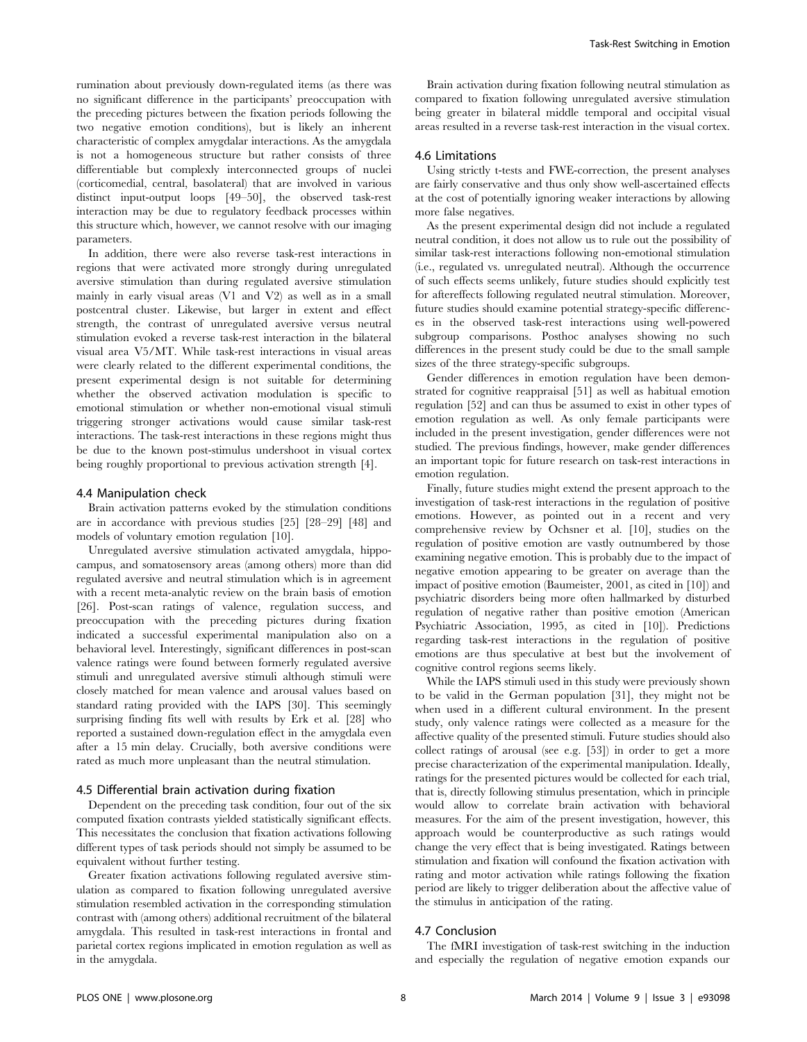rumination about previously down-regulated items (as there was no significant difference in the participants' preoccupation with the preceding pictures between the fixation periods following the two negative emotion conditions), but is likely an inherent characteristic of complex amygdalar interactions. As the amygdala is not a homogeneous structure but rather consists of three differentiable but complexly interconnected groups of nuclei (corticomedial, central, basolateral) that are involved in various distinct input-output loops [49–50], the observed task-rest interaction may be due to regulatory feedback processes within this structure which, however, we cannot resolve with our imaging parameters.

In addition, there were also reverse task-rest interactions in regions that were activated more strongly during unregulated aversive stimulation than during regulated aversive stimulation mainly in early visual areas (V1 and V2) as well as in a small postcentral cluster. Likewise, but larger in extent and effect strength, the contrast of unregulated aversive versus neutral stimulation evoked a reverse task-rest interaction in the bilateral visual area V5/MT. While task-rest interactions in visual areas were clearly related to the different experimental conditions, the present experimental design is not suitable for determining whether the observed activation modulation is specific to emotional stimulation or whether non-emotional visual stimuli triggering stronger activations would cause similar task-rest interactions. The task-rest interactions in these regions might thus be due to the known post-stimulus undershoot in visual cortex being roughly proportional to previous activation strength [4].

#### 4.4 Manipulation check

Brain activation patterns evoked by the stimulation conditions are in accordance with previous studies [25] [28–29] [48] and models of voluntary emotion regulation [10].

Unregulated aversive stimulation activated amygdala, hippocampus, and somatosensory areas (among others) more than did regulated aversive and neutral stimulation which is in agreement with a recent meta-analytic review on the brain basis of emotion [26]. Post-scan ratings of valence, regulation success, and preoccupation with the preceding pictures during fixation indicated a successful experimental manipulation also on a behavioral level. Interestingly, significant differences in post-scan valence ratings were found between formerly regulated aversive stimuli and unregulated aversive stimuli although stimuli were closely matched for mean valence and arousal values based on standard rating provided with the IAPS [30]. This seemingly surprising finding fits well with results by Erk et al. [28] who reported a sustained down-regulation effect in the amygdala even after a 15 min delay. Crucially, both aversive conditions were rated as much more unpleasant than the neutral stimulation.

#### 4.5 Differential brain activation during fixation

Dependent on the preceding task condition, four out of the six computed fixation contrasts yielded statistically significant effects. This necessitates the conclusion that fixation activations following different types of task periods should not simply be assumed to be equivalent without further testing.

Greater fixation activations following regulated aversive stimulation as compared to fixation following unregulated aversive stimulation resembled activation in the corresponding stimulation contrast with (among others) additional recruitment of the bilateral amygdala. This resulted in task-rest interactions in frontal and parietal cortex regions implicated in emotion regulation as well as in the amygdala.

Brain activation during fixation following neutral stimulation as compared to fixation following unregulated aversive stimulation being greater in bilateral middle temporal and occipital visual areas resulted in a reverse task-rest interaction in the visual cortex.

#### 4.6 Limitations

Using strictly t-tests and FWE-correction, the present analyses are fairly conservative and thus only show well-ascertained effects at the cost of potentially ignoring weaker interactions by allowing more false negatives.

As the present experimental design did not include a regulated neutral condition, it does not allow us to rule out the possibility of similar task-rest interactions following non-emotional stimulation (i.e., regulated vs. unregulated neutral). Although the occurrence of such effects seems unlikely, future studies should explicitly test for aftereffects following regulated neutral stimulation. Moreover, future studies should examine potential strategy-specific differences in the observed task-rest interactions using well-powered subgroup comparisons. Posthoc analyses showing no such differences in the present study could be due to the small sample sizes of the three strategy-specific subgroups.

Gender differences in emotion regulation have been demonstrated for cognitive reappraisal [51] as well as habitual emotion regulation [52] and can thus be assumed to exist in other types of emotion regulation as well. As only female participants were included in the present investigation, gender differences were not studied. The previous findings, however, make gender differences an important topic for future research on task-rest interactions in emotion regulation.

Finally, future studies might extend the present approach to the investigation of task-rest interactions in the regulation of positive emotions. However, as pointed out in a recent and very comprehensive review by Ochsner et al. [10], studies on the regulation of positive emotion are vastly outnumbered by those examining negative emotion. This is probably due to the impact of negative emotion appearing to be greater on average than the impact of positive emotion (Baumeister, 2001, as cited in [10]) and psychiatric disorders being more often hallmarked by disturbed regulation of negative rather than positive emotion (American Psychiatric Association, 1995, as cited in [10]). Predictions regarding task-rest interactions in the regulation of positive emotions are thus speculative at best but the involvement of cognitive control regions seems likely.

While the IAPS stimuli used in this study were previously shown to be valid in the German population [31], they might not be when used in a different cultural environment. In the present study, only valence ratings were collected as a measure for the affective quality of the presented stimuli. Future studies should also collect ratings of arousal (see e.g. [53]) in order to get a more precise characterization of the experimental manipulation. Ideally, ratings for the presented pictures would be collected for each trial, that is, directly following stimulus presentation, which in principle would allow to correlate brain activation with behavioral measures. For the aim of the present investigation, however, this approach would be counterproductive as such ratings would change the very effect that is being investigated. Ratings between stimulation and fixation will confound the fixation activation with rating and motor activation while ratings following the fixation period are likely to trigger deliberation about the affective value of the stimulus in anticipation of the rating.

#### 4.7 Conclusion

The fMRI investigation of task-rest switching in the induction and especially the regulation of negative emotion expands our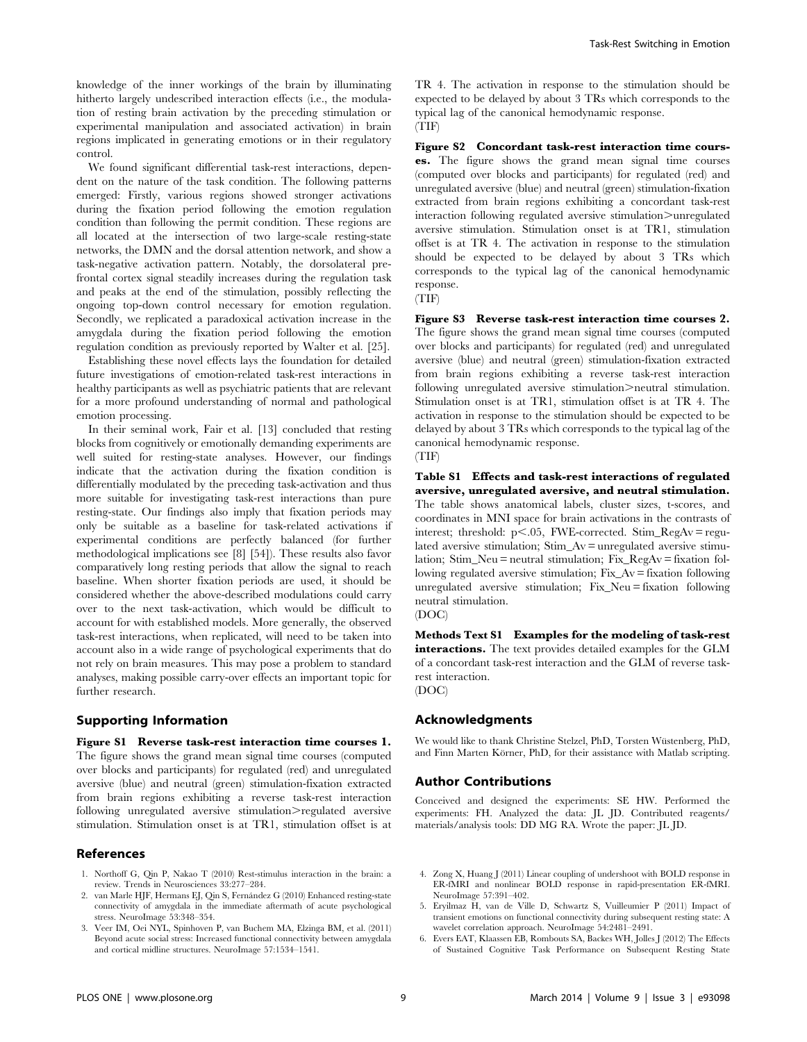knowledge of the inner workings of the brain by illuminating hitherto largely undescribed interaction effects (i.e., the modulation of resting brain activation by the preceding stimulation or experimental manipulation and associated activation) in brain regions implicated in generating emotions or in their regulatory control.

We found significant differential task-rest interactions, dependent on the nature of the task condition. The following patterns emerged: Firstly, various regions showed stronger activations during the fixation period following the emotion regulation condition than following the permit condition. These regions are all located at the intersection of two large-scale resting-state networks, the DMN and the dorsal attention network, and show a task-negative activation pattern. Notably, the dorsolateral prefrontal cortex signal steadily increases during the regulation task and peaks at the end of the stimulation, possibly reflecting the ongoing top-down control necessary for emotion regulation. Secondly, we replicated a paradoxical activation increase in the amygdala during the fixation period following the emotion regulation condition as previously reported by Walter et al. [25].

Establishing these novel effects lays the foundation for detailed future investigations of emotion-related task-rest interactions in healthy participants as well as psychiatric patients that are relevant for a more profound understanding of normal and pathological emotion processing.

In their seminal work, Fair et al. [13] concluded that resting blocks from cognitively or emotionally demanding experiments are well suited for resting-state analyses. However, our findings indicate that the activation during the fixation condition is differentially modulated by the preceding task-activation and thus more suitable for investigating task-rest interactions than pure resting-state. Our findings also imply that fixation periods may only be suitable as a baseline for task-related activations if experimental conditions are perfectly balanced (for further methodological implications see [8] [54]). These results also favor comparatively long resting periods that allow the signal to reach baseline. When shorter fixation periods are used, it should be considered whether the above-described modulations could carry over to the next task-activation, which would be difficult to account for with established models. More generally, the observed task-rest interactions, when replicated, will need to be taken into account also in a wide range of psychological experiments that do not rely on brain measures. This may pose a problem to standard analyses, making possible carry-over effects an important topic for further research.

#### Supporting Information

Figure S1 Reverse task-rest interaction time courses 1. The figure shows the grand mean signal time courses (computed over blocks and participants) for regulated (red) and unregulated aversive (blue) and neutral (green) stimulation-fixation extracted from brain regions exhibiting a reverse task-rest interaction following unregulated aversive stimulation>regulated aversive stimulation. Stimulation onset is at TR1, stimulation offset is at

## References

- 1. Northoff G, Qin P, Nakao T (2010) Rest-stimulus interaction in the brain: a review. Trends in Neurosciences 33:277–284.
- 2. van Marle HJF, Hermans EJ, Qin S, Fernández G (2010) Enhanced resting-state connectivity of amygdala in the immediate aftermath of acute psychological stress. NeuroImage 53:348–354.
- 3. Veer IM, Oei NYL, Spinhoven P, van Buchem MA, Elzinga BM, et al. (2011) Beyond acute social stress: Increased functional connectivity between amygdala and cortical midline structures. NeuroImage 57:1534–1541.

TR 4. The activation in response to the stimulation should be expected to be delayed by about 3 TRs which corresponds to the typical lag of the canonical hemodynamic response. (TIF)

Figure S2 Concordant task-rest interaction time courses. The figure shows the grand mean signal time courses (computed over blocks and participants) for regulated (red) and unregulated aversive (blue) and neutral (green) stimulation-fixation extracted from brain regions exhibiting a concordant task-rest interaction following regulated aversive stimulation>unregulated aversive stimulation. Stimulation onset is at TR1, stimulation offset is at TR 4. The activation in response to the stimulation should be expected to be delayed by about 3 TRs which corresponds to the typical lag of the canonical hemodynamic response.

(TIF)

Figure S3 Reverse task-rest interaction time courses 2. The figure shows the grand mean signal time courses (computed over blocks and participants) for regulated (red) and unregulated aversive (blue) and neutral (green) stimulation-fixation extracted from brain regions exhibiting a reverse task-rest interaction following unregulated aversive stimulation>neutral stimulation. Stimulation onset is at TR1, stimulation offset is at TR 4. The activation in response to the stimulation should be expected to be delayed by about 3 TRs which corresponds to the typical lag of the canonical hemodynamic response.

(TIF)

Table S1 Effects and task-rest interactions of regulated aversive, unregulated aversive, and neutral stimulation. The table shows anatomical labels, cluster sizes, t-scores, and coordinates in MNI space for brain activations in the contrasts of interest; threshold:  $p<.05$ , FWE-corrected. Stim\_RegAv = regulated aversive stimulation; Stim  $Av =$  unregulated aversive stimulation; Stim\_Neu = neutral stimulation; Fix\_RegAv = fixation following regulated aversive stimulation; Fix  $Av =$  fixation following unregulated aversive stimulation; Fix\_Neu = fixation following neutral stimulation.

(DOC)

Methods Text S1 Examples for the modeling of task-rest interactions. The text provides detailed examples for the GLM of a concordant task-rest interaction and the GLM of reverse taskrest interaction. (DOC)

#### Acknowledgments

We would like to thank Christine Stelzel, PhD, Torsten Wüstenberg, PhD, and Finn Marten Körner, PhD, for their assistance with Matlab scripting.

## Author Contributions

Conceived and designed the experiments: SE HW. Performed the experiments: FH. Analyzed the data: JL JD. Contributed reagents/ materials/analysis tools: DD MG RA. Wrote the paper: JL JD.

- 4. Zong X, Huang J (2011) Linear coupling of undershoot with BOLD response in ER-fMRI and nonlinear BOLD response in rapid-presentation ER-fMRI. NeuroImage 57:391–402.
- 5. Eryilmaz H, van de Ville D, Schwartz S, Vuilleumier P (2011) Impact of transient emotions on functional connectivity during subsequent resting state: A wavelet correlation approach. NeuroImage 54:2481–2491.
- 6. Evers EAT, Klaassen EB, Rombouts SA, Backes WH, Jolles J (2012) The Effects of Sustained Cognitive Task Performance on Subsequent Resting State